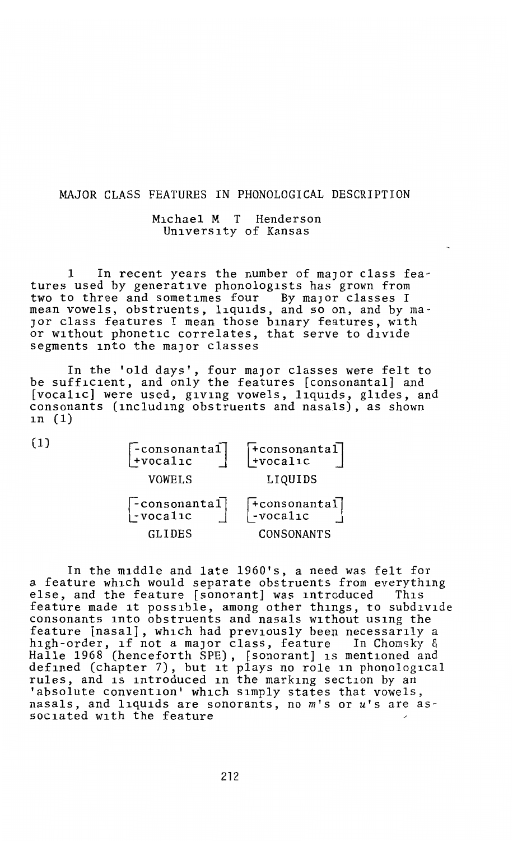## MAJOR CLASS FEATURES IN PHONOLOGICAL DESCRIPTION

## Michael M T Henderson University of Kansas

1 In recent years the number of major class features used by generative phonologists has grown from two to three and sometimes four By major classes I mean vowels, obstruents, liquids, and so on, and by ma-JOr class features I mean those binary features, with or without phonetic correlates, that serve to divide segments into the major classes

In the 'old days', four major classes were felt to be sufficient, and only the features [consonantal] and [vocalic] were used, giving vowels, liquids, glides, and consonants (including obstruents and nasals), as shown in  $(1)$ 

| (1) | $\begin{bmatrix} -\text{consonantal} \\ +\text{vocalic} \end{bmatrix}$<br>VOWELS | $\begin{bmatrix} + \text{consonantal} \\ + \text{vocalic} \end{bmatrix}$<br>LIQUIDS |
|-----|----------------------------------------------------------------------------------|-------------------------------------------------------------------------------------|
|     | $\begin{bmatrix} -\text{consonantal} \\ -\text{vocalic} \end{bmatrix}$           | $\begin{bmatrix} + \text{consonantal} \\ - \text{vocalic} \end{bmatrix}$            |
|     | GLIDES                                                                           | CONSONANTS                                                                          |

In the middle and late 1960's, a need was felt for a feature which would separate obstruents from everything else, and the feature [sonorant] was introduced This feature made it possible, among other things, to subdivide consonants into obstruents and nasals without using the feature [nasal], which had previously been necessarily a high-order, if not a major class, feature In Chomsky & Halle 1968 (henceforth SPE), [sonorant] is mentioned and defined (chapter 7), but it plays no role in phonological rules, and is introduced in the marking section by an 'absolute convention' which simply states that vowels, nasals, and liquids are sonorants, no *m's* or *u's* are as sociated with the feature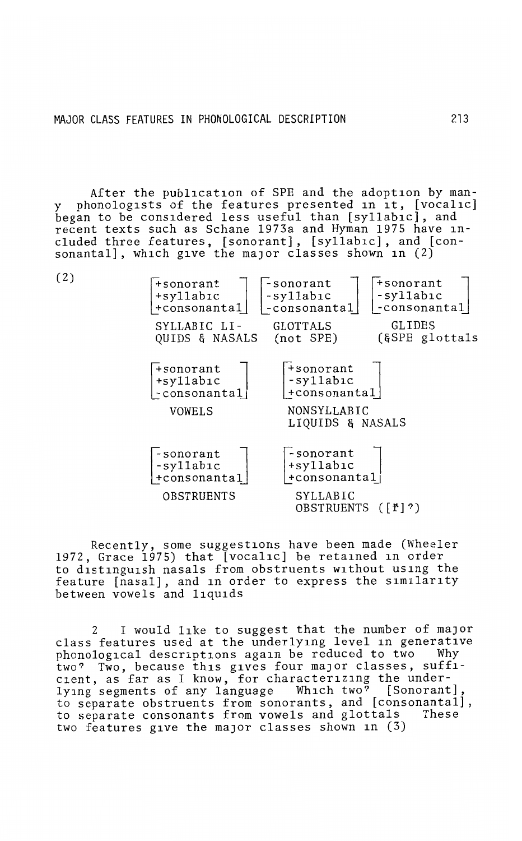After the publication of SPE and the adoption by manphonologists of the features presented in it, [vocalic] began to be considered less useful than [syllabic], and recent texts such as Schane 1973a and Hyman 1975 have included three features, [sonorant], [syllabic], and [consonantal], which give the maJor classes shown in (2)



Recently, some suggestions have been made (Wheeler 1972, Grace 1975) that [vocalic] be retained in order to distinguish nasals from obstruents without using the feature [nasal], and in order to express the similarity between vowels and liquids

2 I would like to suggest that the number of maJor class features used at the underlying level in generative<br>phonological descriptions again be reduced to two Why phonological descriptions again be reduced to two two? Two, because this gives four maJor classes, sufficient, as far as I know, for characterizing the underlying segments of any language Which two? [Sonorant] to separate obstruents from sonorants, and [consonantal], to separate consonants from vowels and glottals These two features give the major classes shown in (3)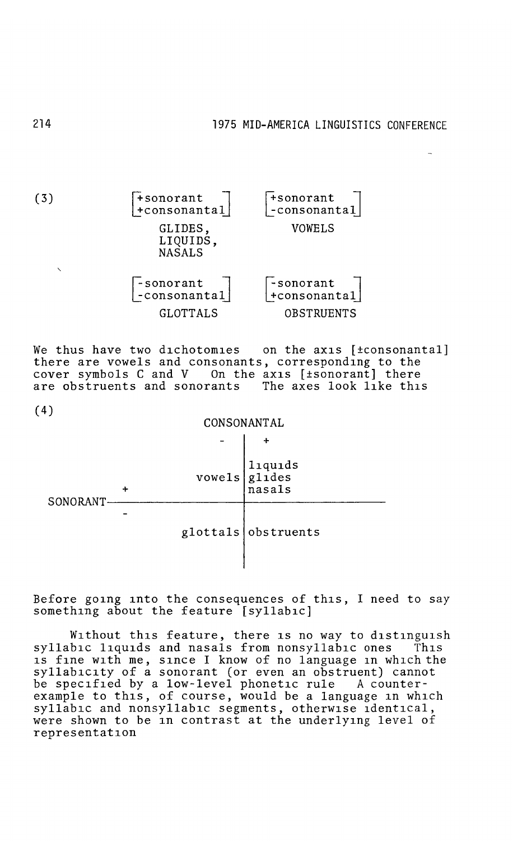(3)  $\mathsf{\bar{+}}$ sonorant +consonantal GLIDES, LIQUIDS. NASALS -sonorant<br>-consonantal GLOTTALS r+sonorant l |-consonantal VOWELS -sonorant +consonanta1 OBSTRUENTS

We thus have two dichotomies on the axis [±consonantal] there are vowels and consonants, corresponding to the cover symbols C and V On the axis [±sonorant] there are obstruents and sonorants The axes look like this

(4)



Before going into the consequences of this, I need to say something about the feature [syllabic]

Without this feature, there is no way to distinguish syllabic liquids and nasals from nonsyllabic ones This is fine with me, since I know of no language in which the syllabicity of a sonorant (or even an obstruent) cannot be specified by a low-level phonetic rule A counterexample to this, of course, would be a language in which syllabic and nonsyllabic segments, otherwise identical, were shown to be in contrast at the underlying level of representation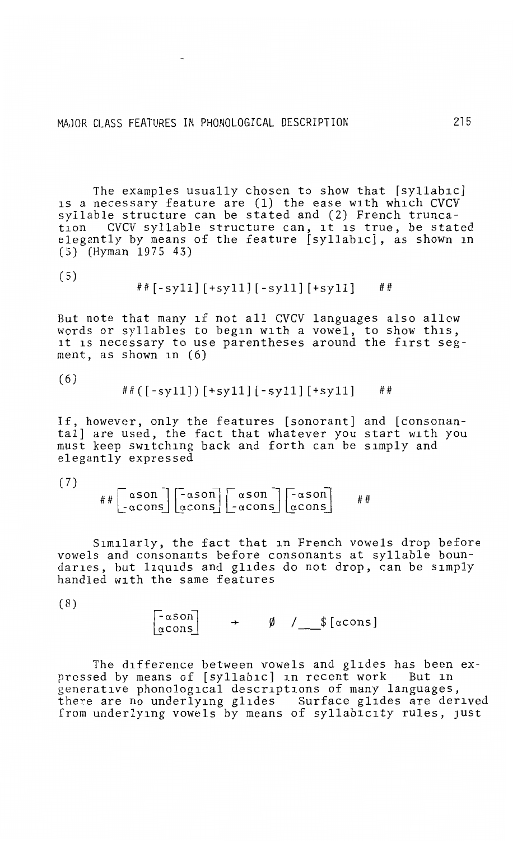The examples usually chosen to show that [syllabic] is a necessary feature are (1) the ease with which CVCV syllable structure can be stated and (2) French trunca-<br>tion CVCV syllable structure can, it is true, be state CVCV syllable structure can, it is true, be stated elegantly by means of the feature [syllabic], as shown in  $(5)$  (Hyman 1975 43)

(5)

##[-syll] [+syll] [-syll] [+syll] ##

But note that many if not all CVCV languages also allow words or syllables to begin with a vowel, to show this, it is necessary to use parentheses around the first segment, as shown in (6)

(6)

$$
\# \# \left( \, [\, -sy11] \, ] \, [\, +sy11] \, [\, -sy11] \, [\, +sy11] \right) \quad \ \ \# \#
$$

If, however, only the features [sonorant] and [consonantal] are used, the fact that whatever you start with you must keep switching back and forth can be simply and elegantly expressed

(7)

$$
\# \# \left[ \begin{array}{c} \alpha \text{son} \\ -\alpha \text{cons} \end{array} \right] \left[ \begin{array}{c} -\alpha \text{son} \\ \alpha \text{cons} \end{array} \right] \left[ \begin{array}{c} \alpha \text{son} \\ -\alpha \text{cons} \end{array} \right] \left[ \begin{array}{c} -\alpha \text{son} \\ \alpha \text{cons} \end{array} \right] \qquad \# \#
$$

Similarly, the fact that 1n French vowels drop before vowels and consonants before consonants at syllable boundaries, but liquids and glides do not drop, can be simply handled with the same features

(8)

 $\lceil -\alpha \operatorname{son} \rceil$ <br> $\alpha \operatorname{cons}$  $\rightarrow$   $\emptyset$  /  $\$$ [ $\alpha$ cons]

The difference between vowels and glides has been expressed by means of [syllabic] in recent work But in generative phonological descriptions of many languages, there are no underlying glides Surface glides are derived from underlying vowels by means of syllabicity rules, just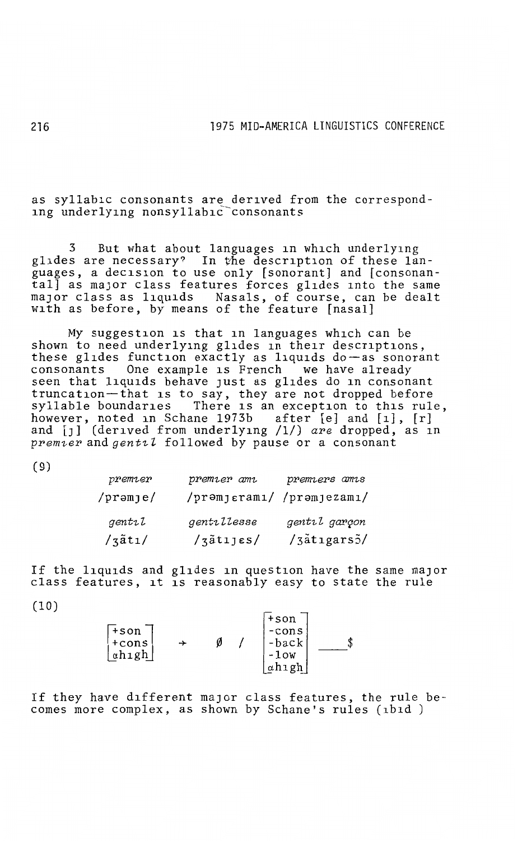as syllabic consonants are derived from the corresponding underlying nonsyllabic-consonants

3 But what about languages in which underlying glides are necessary? In the description of these languages, a decision to use only [sonorant] and [consonantal] as major class features forces glides into the same maJor class as liquids Nasals, of course, can be dealt with as before, by means of the feature [nasal]

My suggestion is that in languages which can be shown to need underlying glides in their descriptions, these glides function exactly as liquids do-as sonorant consonants One example is French we have already seen that liquids behave just as glides do in consonant truncation~that is to say, they are not dropped before syllable boundaries There is an exception to this rule, however, noted in Schane 1973b after [e] and [1], [r] and [J] (derived from underlying /1/) *are* dropped, as in *premier* and *gentil* followed by pause or a consonant

(9)

| premier            | premier ami               | premiers amis |
|--------------------|---------------------------|---------------|
| /prəmje/           | /prəmjerami/ /prəmjezami/ |               |
| gentil             | gentillesse               | gentil garçon |
| $\frac{1}{3}$ ati/ | $\frac{1}{3}$ atijes/     | /3atigars3/   |

If the liquids and glides in question have the same major class features, it is reasonably easy to state the rule

(10)

| $+$ son<br>∣+cons<br>  ahıgh |  | $+$ son<br>-cons<br>-back<br>$-1$ ow |  |
|------------------------------|--|--------------------------------------|--|
|                              |  | αhıgh                                |  |

If they have different maJor class features, the rule becomes more complex, as shown by Schane's rules (1b1d )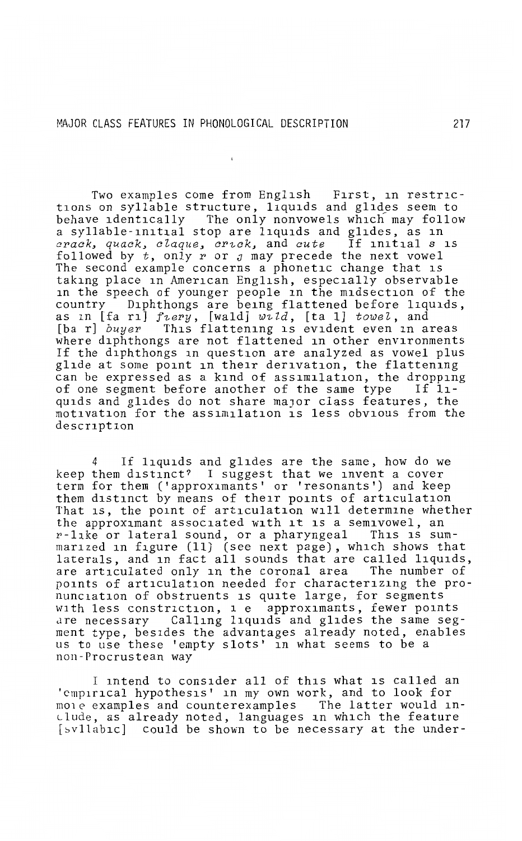Two examples come from English First, in restric tions on syllable structure, liquids and glides seem to behave identically The only nonvowels which may follow a syllable-initial stop are liquids and glides, as in *crack, quack, claque, crick, and cute* If initial *s* is followed by *t,* only r or *J* may precede the next vowel The second example concerns a phonetic change that is taking place in American English, especially observable in the speech of younger people in the midsection of the country Diphthongs are being flattened before liquids, as in [fa ri] *fiery*, [wald] wid, [ta l] *towel*, and<br>[ba r] *buver* This flattening is evident even in a [ba r] *buyer* This flattening is evident even in areas where diphthongs are not flattened in other environments If the diphthongs in question are analyzed as vowel plus glide at some point in their derivation, the flattening can be expressed as a kind of assimilation, the dropping<br>of one segment before another of the same type If 11of one segment before another of the same type quids and glides do not share major class features, the motivation for the ass1m1lat1on is less obvious from the description

4 If liquids and glides are the same, how do we keep them distinct? I suggest that we invent a cover term for them ('approximants' or 'resonants') and keep them distinct by means of their points of articulation That 1s, the point of articulation will determine whether the approximant associated with it is a semivowel, an<br>r-like or lateral sound, or a pharyngeal This is summarized in figure (11) (see next page), which shows that laterals, and in fact all sounds that are called liquids, are articulated only in the coronal area. The number of are articulated only in the coronal area points of articulation needed for characterizing the pronunciation of obstruents is quite large, for segments with less constriction, i e approximants, fewer points<br>are necessary Calling liquids and glides the same seg Calling liquids and glides the same segment type, besides the advantages already noted, enables us to use these 'empty slots' in what seems to be a non Procrustean way

I intend to consider all of this what is called an 'cmp1r1cal hypothesis' in my own work, and to look for mo1e examples and counterexamples The latter would include, as already noted, languages in which the feature [svllabic] could be shown to be necessary at the under-